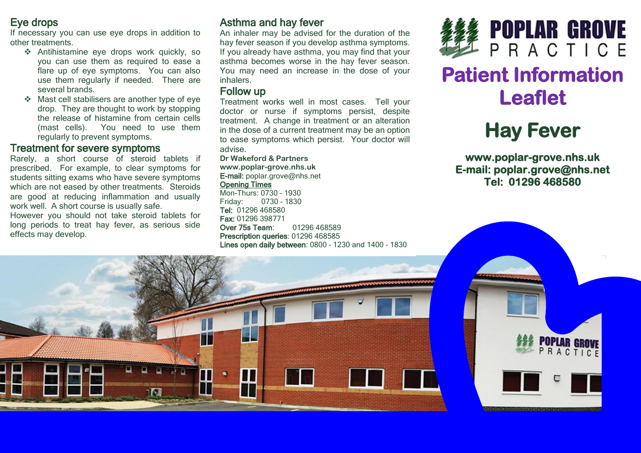## Eye drops

If necessary you can use eye drops in addition to other treatments.

- Antihistamine eye drops work quickly, so you can use them as required to ease a flare up of eye symptoms. You can also use them regularly if needed. There are several brands.
- Mast cell stabilisers are another type of eye drop. They are thought to work by stopping the release of histamine from certain cells (mast cells). You need to use them regularly to prevent symptoms.

#### Treatment for severe symptoms

Rarely, a short course of steroid tablets if prescribed. For example, to clear symptoms for students sitting exams who have severe symptoms which are not eased by other treatments. Steroids are good at reducing inflammation and usually work well. A short course is usually safe.

However you should not take steroid tablets for long periods to treat hay fever, as serious side effects may develop.

# Asthma and hay fever

An inhaler may be advised for the duration of the hay fever season if you develop asthma symptoms. If you already have asthma, you may find that your asthma becomes worse in the hay fever season. You may need an increase in the dose of your inhalers.

#### Follow up

Treatment works well in most cases. Tell your doctor or nurse if symptoms persist, despite treatment. A change in treatment or an alteration in the dose of a current treatment may be an option to ease symptoms which persist. Your doctor will advise.

**Dr Wakeford & Partners www.poplar-grove.nhs.uk** E-mail: [poplar.grove@nhs.net](mailto:poplar.grove@nhs.net)

#### Opening Times

Mon-Thurs: 0730 – 1930 Friday: 0730 – 1830 Tel: 01296 468580 Fax: 01296 398771 Over 75s Team: 01296 468589 Prescription queries: 01296 468585 Lines open daily between: 0800 – 1230 and 1400 – 1830



# **Patient Information Leaflet**

# **Hay Fever**

**www.poplar-grove.nhs.uk E-mail: poplar.grove@nhs.net Tel: 01296 468580**